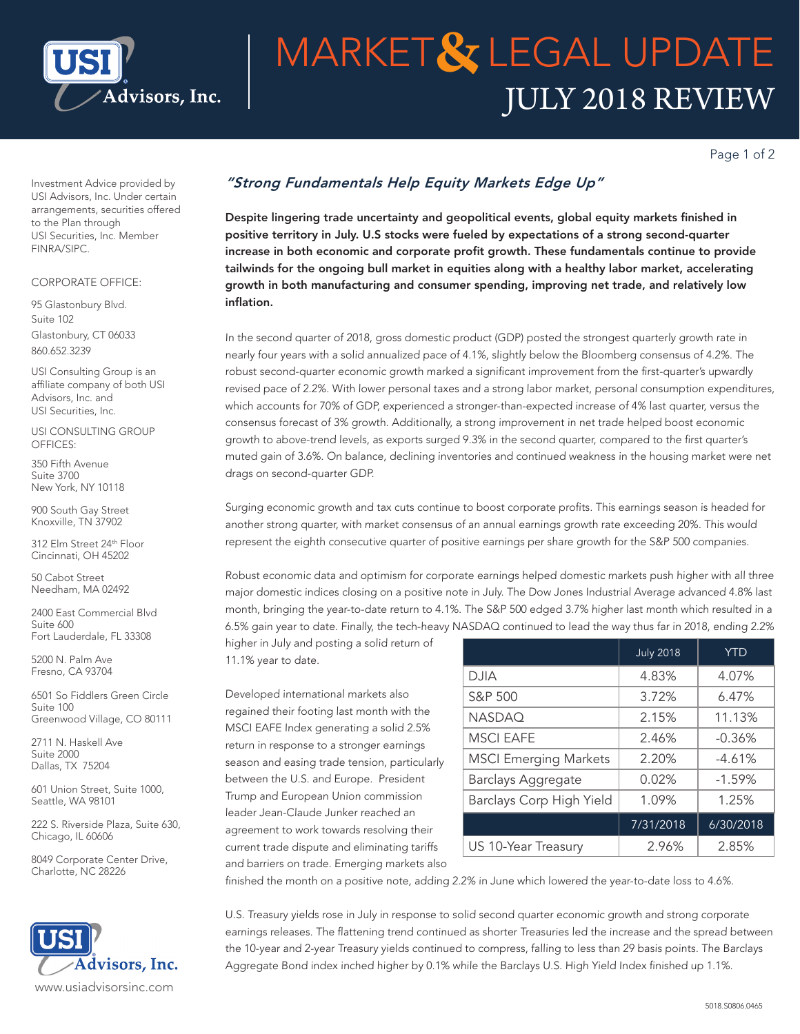

# JULY 2018 REVIEW **MARKET& LEGAL UPDATE**

Page 1 of 2

Investment Advice provided by USI Advisors, Inc. Under certain arrangements, securities offered to the Plan through USI Securities, Inc. Member FINRA/SIPC.

### CORPORATE OFFICE:

95 Glastonbury Blvd. Suite 102 Glastonbury, CT 06033 860.652.3239

USI Consulting Group is an affiliate company of both USI Advisors, Inc. and USI Securities, Inc.

USI CONSULTING GROUP OFFICES:

350 Fifth Avenue Suite 3700 New York, NY 10118

900 South Gay Street Knoxville, TN 37902

312 Elm Street 24th Floor Cincinnati, OH 45202

50 Cabot Street Needham, MA 02492

2400 East Commercial Blvd Suite 600 Fort Lauderdale, FL 33308

5200 N. Palm Ave Fresno, CA 93704

6501 So Fiddlers Green Circle Suite 100 Greenwood Village, CO 80111

2711 N. Haskell Ave Suite 2000 Dallas, TX 75204

601 Union Street, Suite 1000, Seattle, WA 98101

222 S. Riverside Plaza, Suite 630, Chicago, IL 60606

8049 Corporate Center Drive, Charlotte, NC 28226



## *"Strong Fundamentals Help Equity Markets Edge Up"*

Despite lingering trade uncertainty and geopolitical events, global equity markets finished in positive territory in July. U.S stocks were fueled by expectations of a strong second-quarter increase in both economic and corporate profit growth. These fundamentals continue to provide tailwinds for the ongoing bull market in equities along with a healthy labor market, accelerating growth in both manufacturing and consumer spending, improving net trade, and relatively low inflation.

In the second quarter of 2018, gross domestic product (GDP) posted the strongest quarterly growth rate in nearly four years with a solid annualized pace of 4.1%, slightly below the Bloomberg consensus of 4.2%. The robust second-quarter economic growth marked a significant improvement from the first-quarter's upwardly revised pace of 2.2%. With lower personal taxes and a strong labor market, personal consumption expenditures, which accounts for 70% of GDP, experienced a stronger-than-expected increase of 4% last quarter, versus the consensus forecast of 3% growth. Additionally, a strong improvement in net trade helped boost economic growth to above-trend levels, as exports surged 9.3% in the second quarter, compared to the first quarter's muted gain of 3.6%. On balance, declining inventories and continued weakness in the housing market were net drags on second-quarter GDP.

Surging economic growth and tax cuts continue to boost corporate profits. This earnings season is headed for another strong quarter, with market consensus of an annual earnings growth rate exceeding 20%. This would represent the eighth consecutive quarter of positive earnings per share growth for the S&P 500 companies.

Robust economic data and optimism for corporate earnings helped domestic markets push higher with all three major domestic indices closing on a positive note in July. The Dow Jones Industrial Average advanced 4.8% last month, bringing the year-to-date return to 4.1%. The S&P 500 edged 3.7% higher last month which resulted in a 6.5% gain year to date. Finally, the tech-heavy NASDAQ continued to lead the way thus far in 2018, ending 2.2%

higher in July and posting a solid return of 11.1% year to date.

Developed international markets also regained their footing last month with the MSCI EAFE Index generating a solid 2.5% return in response to a stronger earnings season and easing trade tension, particularly between the U.S. and Europe. President Trump and European Union commission leader Jean-Claude Junker reached an agreement to work towards resolving their current trade dispute and eliminating tariffs and barriers on trade. Emerging markets also

|                              | <b>July 2018</b> | <b>YTD</b> |
|------------------------------|------------------|------------|
| <b>DJIA</b>                  | 4.83%            | 4.07%      |
| S&P 500                      | 3.72%            | 6.47%      |
| <b>NASDAO</b>                | 2.15%            | 11.13%     |
| <b>MSCI EAFE</b>             | 2.46%            | $-0.36%$   |
| <b>MSCI Emerging Markets</b> | 2.20%            | $-4.61%$   |
| <b>Barclays Aggregate</b>    | 0.02%            | $-1.59%$   |
| Barclays Corp High Yield     | 1.09%            | 1.25%      |
|                              | 7/31/2018        | 6/30/2018  |
| US 10-Year Treasury          | 2.96%            | 2.85%      |

finished the month on a positive note, adding 2.2% in June which lowered the year-to-date loss to 4.6%.

U.S. Treasury yields rose in July in response to solid second quarter economic growth and strong corporate earnings releases. The flattening trend continued as shorter Treasuries led the increase and the spread between the 10-year and 2-year Treasury yields continued to compress, falling to less than 29 basis points. The Barclays Aggregate Bond index inched higher by 0.1% while the Barclays U.S. High Yield Index finished up 1.1%.